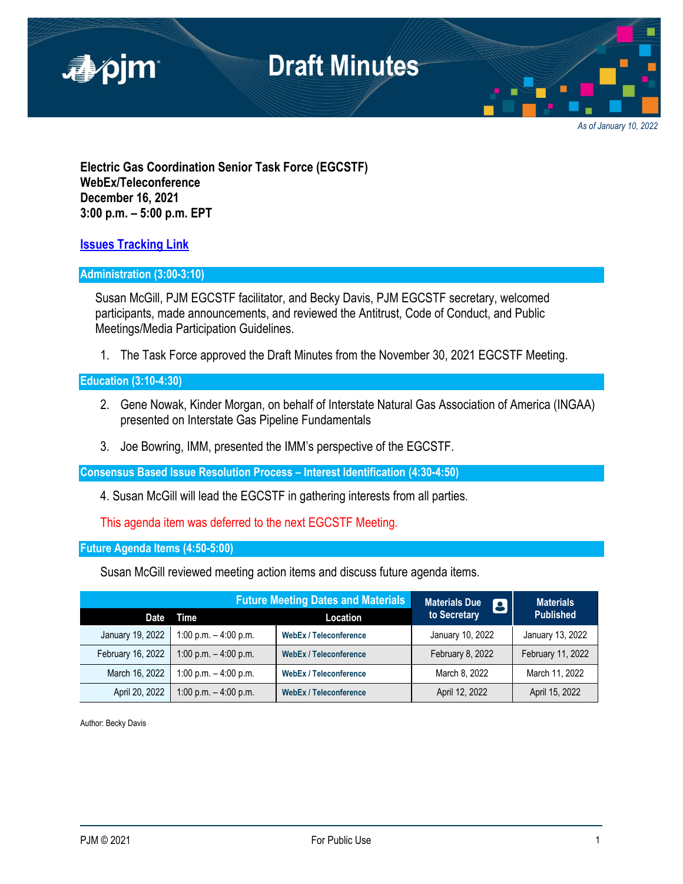

*As of January 10, 2022*

**Electric Gas Coordination Senior Task Force (EGCSTF) WebEx/Teleconference December 16, 2021 3:00 p.m. – 5:00 p.m. EPT**

**[Issues Tracking Link](https://www.pjm.com/committees-and-groups/issue-tracking/issue-tracking-details.aspx?Issue=e3c8385c-0638-4a1d-a5d2-8b1a2a87c295)**

## **Administration (3:00-3:10)**

Susan McGill, PJM EGCSTF facilitator, and Becky Davis, PJM EGCSTF secretary, welcomed participants, made announcements, and reviewed the Antitrust, Code of Conduct, and Public Meetings/Media Participation Guidelines.

1. The Task Force approved the Draft Minutes from the November 30, 2021 EGCSTF Meeting.

## **Education (3:10-4:30)**

- 2. Gene Nowak, Kinder Morgan, on behalf of Interstate Natural Gas Association of America (INGAA) presented on Interstate Gas Pipeline Fundamentals
- 3. Joe Bowring, IMM, presented the IMM's perspective of the EGCSTF.

**Consensus Based Issue Resolution Process – Interest Identification (4:30-4:50)**

4. Susan McGill will lead the EGCSTF in gathering interests from all parties.

This agenda item was deferred to the next EGCSTF Meeting.

**Future Agenda Items (4:50-5:00)**

Susan McGill reviewed meeting action items and discuss future agenda items.

|                   | <b>Future Meeting Dates and Materials</b> |                               | <b>Materials Due</b><br><b>13)</b> | <b>Materials</b>  |
|-------------------|-------------------------------------------|-------------------------------|------------------------------------|-------------------|
| Date              | Time                                      | Location                      | to Secretary                       | <b>Published</b>  |
| January 19, 2022  | 1:00 p.m. $-$ 4:00 p.m.                   | <b>WebEx / Teleconference</b> | January 10, 2022                   | January 13, 2022  |
| February 16, 2022 | 1:00 p.m. $-$ 4:00 p.m.                   | <b>WebEx / Teleconference</b> | February 8, 2022                   | February 11, 2022 |
| March 16, 2022    | 1:00 p.m. $-$ 4:00 p.m.                   | <b>WebEx / Teleconference</b> | March 8, 2022                      | March 11, 2022    |
| April 20, 2022    | 1:00 p.m. $-$ 4:00 p.m.                   | <b>WebEx / Teleconference</b> | April 12, 2022                     | April 15, 2022    |

Author: Becky Davis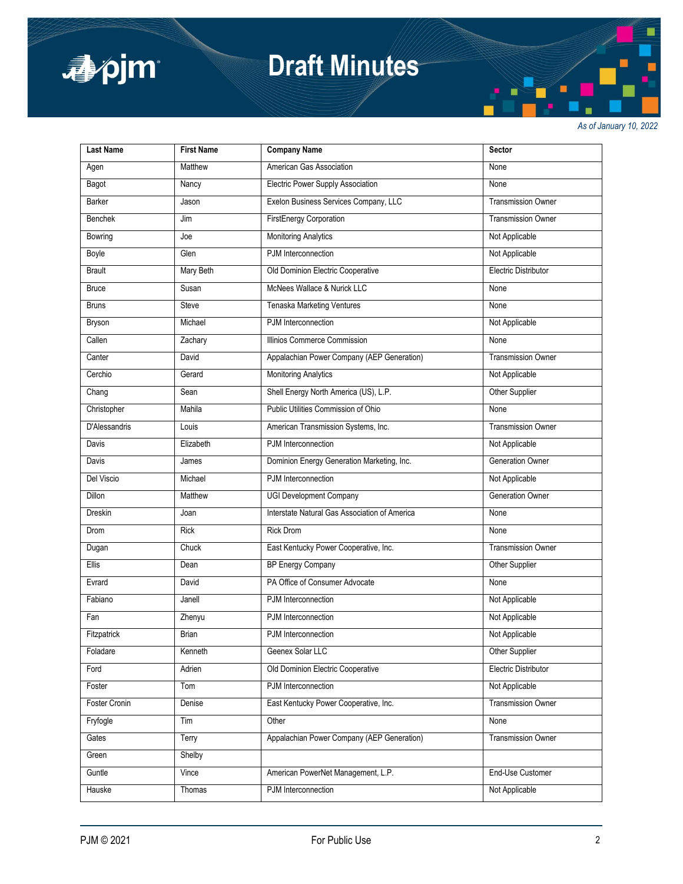

# **Draft Minutes**

*As of January 10, 2022*

| <b>Last Name</b> | <b>First Name</b> | <b>Company Name</b>                           | <b>Sector</b>             |
|------------------|-------------------|-----------------------------------------------|---------------------------|
| Agen             | Matthew           | American Gas Association                      | None                      |
| Bagot            | Nancy             | Electric Power Supply Association             | None                      |
| Barker           | Jason             | Exelon Business Services Company, LLC         | Transmission Owner        |
| <b>Benchek</b>   | Jim               | <b>FirstEnergy Corporation</b>                | <b>Transmission Owner</b> |
| Bowring          | Joe               | <b>Monitoring Analytics</b>                   | Not Applicable            |
| Boyle            | Glen              | PJM Interconnection                           | Not Applicable            |
| <b>Brault</b>    | Mary Beth         | Old Dominion Electric Cooperative             | Electric Distributor      |
| <b>Bruce</b>     | Susan             | McNees Wallace & Nurick LLC                   | None                      |
| <b>Bruns</b>     | <b>Steve</b>      | <b>Tenaska Marketing Ventures</b>             | None                      |
| Bryson           | Michael           | PJM Interconnection                           | Not Applicable            |
| Callen           | Zachary           | Illinios Commerce Commission                  | None                      |
| Canter           | David             | Appalachian Power Company (AEP Generation)    | <b>Transmission Owner</b> |
| Cerchio          | Gerard            | <b>Monitoring Analytics</b>                   | Not Applicable            |
| Chang            | Sean              | Shell Energy North America (US), L.P.         | Other Supplier            |
| Christopher      | Mahila            | Public Utilities Commission of Ohio           | None                      |
| D'Alessandris    | Louis             | American Transmission Systems, Inc.           | <b>Transmission Owner</b> |
| Davis            | Elizabeth         | PJM Interconnection                           | Not Applicable            |
| Davis            | James             | Dominion Energy Generation Marketing, Inc.    | Generation Owner          |
| Del Viscio       | Michael           | PJM Interconnection                           | Not Applicable            |
| Dillon           | Matthew           | <b>UGI Development Company</b>                | Generation Owner          |
| <b>Dreskin</b>   | Joan              | Interstate Natural Gas Association of America | None                      |
| Drom             | <b>Rick</b>       | <b>Rick Drom</b>                              | None                      |
| Dugan            | Chuck             | East Kentucky Power Cooperative, Inc.         | <b>Transmission Owner</b> |
| <b>Ellis</b>     | Dean              | <b>BP Energy Company</b>                      | <b>Other Supplier</b>     |
| Evrard           | David             | PA Office of Consumer Advocate                | None                      |
| Fabiano          | Janell            | PJM Interconnection                           | Not Applicable            |
| Fan              | Zhenyu            | PJM Interconnection                           | Not Applicable            |
| Fitzpatrick      | Brian             | PJM Interconnection                           | Not Applicable            |
| Foladare         | Kenneth           | Geenex Solar LLC                              | Other Supplier            |
| Ford             | Adrien            | Old Dominion Electric Cooperative             | Electric Distributor      |
| Foster           | Tom               | PJM Interconnection                           | Not Applicable            |
| Foster Cronin    | Denise            | East Kentucky Power Cooperative, Inc.         | <b>Transmission Owner</b> |
| Fryfogle         | Tim               | Other                                         | None                      |
| Gates            | Terry             | Appalachian Power Company (AEP Generation)    | <b>Transmission Owner</b> |
| Green            | Shelby            |                                               |                           |
| Guntle           | Vince             | American PowerNet Management, L.P.            | End-Use Customer          |
| Hauske           | Thomas            | PJM Interconnection                           | Not Applicable            |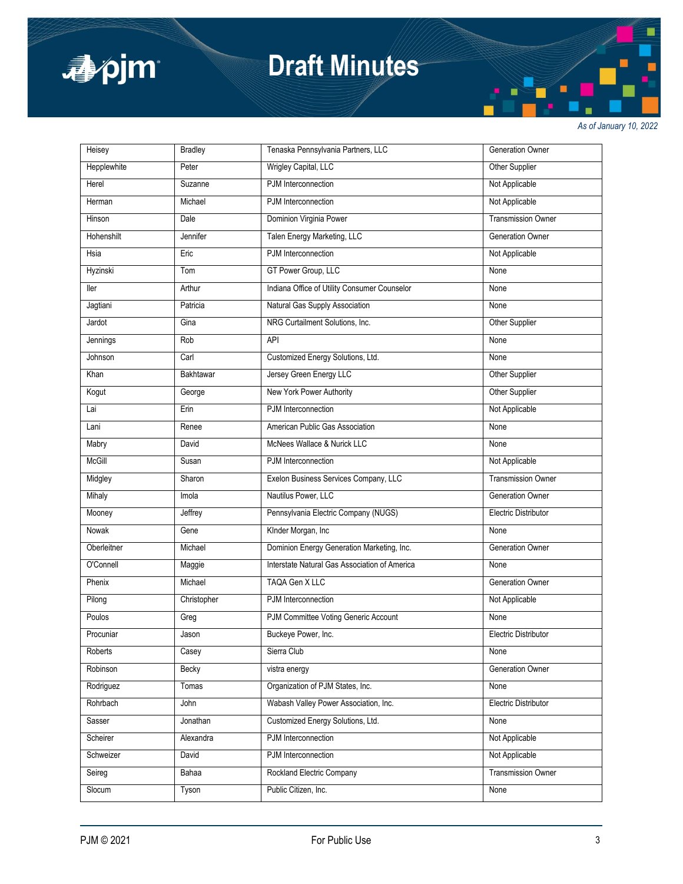

# **Draft Minutes**

*As of January 10, 2022*

| Heisey      | <b>Bradley</b> | Tenaska Pennsylvania Partners, LLC            | Generation Owner            |
|-------------|----------------|-----------------------------------------------|-----------------------------|
| Hepplewhite | Peter          | Wrigley Capital, LLC                          | Other Supplier              |
| Herel       | Suzanne        | PJM Interconnection                           | Not Applicable              |
| Herman      | Michael        | PJM Interconnection                           | Not Applicable              |
| Hinson      | Dale           | Dominion Virginia Power                       | <b>Transmission Owner</b>   |
| Hohenshilt  | Jennifer       | Talen Energy Marketing, LLC                   | Generation Owner            |
| Hsia        | Eric           | PJM Interconnection                           | Not Applicable              |
| Hyzinski    | Tom            | GT Power Group, LLC                           | None                        |
| ller        | Arthur         | Indiana Office of Utility Consumer Counselor  | None                        |
| Jagtiani    | Patricia       | Natural Gas Supply Association                | None                        |
| Jardot      | Gina           | NRG Curtailment Solutions, Inc.               | <b>Other Supplier</b>       |
| Jennings    | Rob            | API                                           | None                        |
| Johnson     | Carl           | Customized Energy Solutions, Ltd.             | None                        |
| Khan        | Bakhtawar      | Jersey Green Energy LLC                       | Other Supplier              |
| Kogut       | George         | New York Power Authority                      | Other Supplier              |
| Lai         | Erin           | PJM Interconnection                           | Not Applicable              |
| Lani        | Renee          | American Public Gas Association               | None                        |
| Mabry       | David          | McNees Wallace & Nurick LLC                   | None                        |
| McGill      | Susan          | PJM Interconnection                           | Not Applicable              |
| Midgley     | Sharon         | Exelon Business Services Company, LLC         | <b>Transmission Owner</b>   |
| Mihaly      | Imola          | Nautilus Power, LLC                           | <b>Generation Owner</b>     |
| Mooney      | Jeffrey        | Pennsylvania Electric Company (NUGS)          | Electric Distributor        |
| Nowak       | Gene           | KInder Morgan, Inc                            | None                        |
| Oberleitner | Michael        | Dominion Energy Generation Marketing, Inc.    | Generation Owner            |
| O'Connell   | Maggie         | Interstate Natural Gas Association of America | None                        |
| Phenix      | Michael        | TAQA Gen X LLC                                | Generation Owner            |
| Pilong      | Christopher    | PJM Interconnection                           | Not Applicable              |
| Poulos      | Greg           | PJM Committee Voting Generic Account          | None                        |
| Procuniar   | Jason          | Buckeye Power, Inc.                           | <b>Electric Distributor</b> |
| Roberts     | Casey          | Sierra Club                                   | None                        |
| Robinson    | Becky          | vistra energy                                 | Generation Owner            |
| Rodriguez   | Tomas          | Organization of PJM States, Inc.              | None                        |
| Rohrbach    | John           | Wabash Valley Power Association, Inc.         | Electric Distributor        |
| Sasser      | Jonathan       | Customized Energy Solutions, Ltd.             | None                        |
| Scheirer    | Alexandra      | PJM Interconnection                           | Not Applicable              |
| Schweizer   | David          | PJM Interconnection                           | Not Applicable              |
| Seireg      | Bahaa          | Rockland Electric Company                     | <b>Transmission Owner</b>   |
| Slocum      | Tyson          | Public Citizen, Inc.                          | None                        |